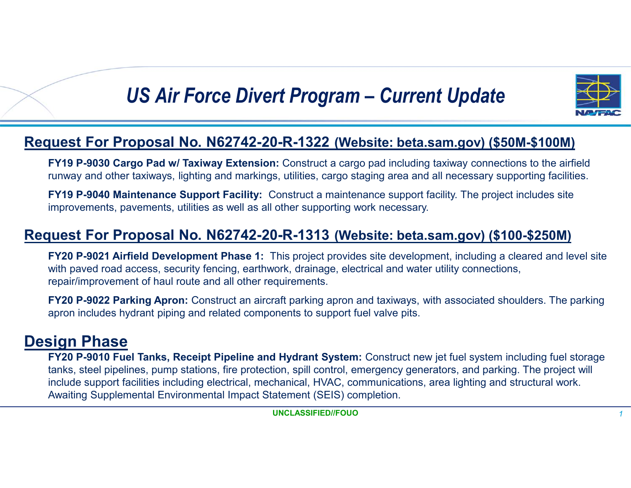# *US Air Force Divert Program – Current Update*



### **Request For Proposal No. N62742-20-R-1322 (Website: beta.sam.gov) (\$50M-\$100M)**

**FY19 P-9030 Cargo Pad w/ Taxiway Extension:** Construct a cargo pad including taxiway connections to the airfield runway and other taxiways, lighting and markings, utilities, cargo staging area and all necessary supporting facilities.

**FY19 P-9040 Maintenance Support Facility:** Construct a maintenance support facility. The project includes site improvements, pavements, utilities as well as all other supporting work necessary.

#### **Request For Proposal No. N62742-20-R-1313 (Website: beta.sam.gov) (\$100-\$250M)**

**FY20 P-9021 Airfield Development Phase 1:** This project provides site development, including a cleared and level site with paved road access, security fencing, earthwork, drainage, electrical and water utility connections, repair/improvement of haul route and all other requirements.

**FY20 P-9022 Parking Apron:** Construct an aircraft parking apron and taxiways, with associated shoulders. The parking apron includes hydrant piping and related components to support fuel valve pits.

#### **Design Phase**

 **FY20 P-9010 Fuel Tanks, Receipt Pipeline and Hydrant System:** Construct new jet fuel system including fuel storage tanks, steel pipelines, pump stations, fire protection, spill control, emergency generators, and parking. The project will include support facilities including electrical, mechanical, HVAC, communications, area lighting and structural work.Awaiting Supplemental Environmental Impact Statement (SEIS) completion.

> **UNCLASSIFIED//FOUO***<sup>1</sup>*